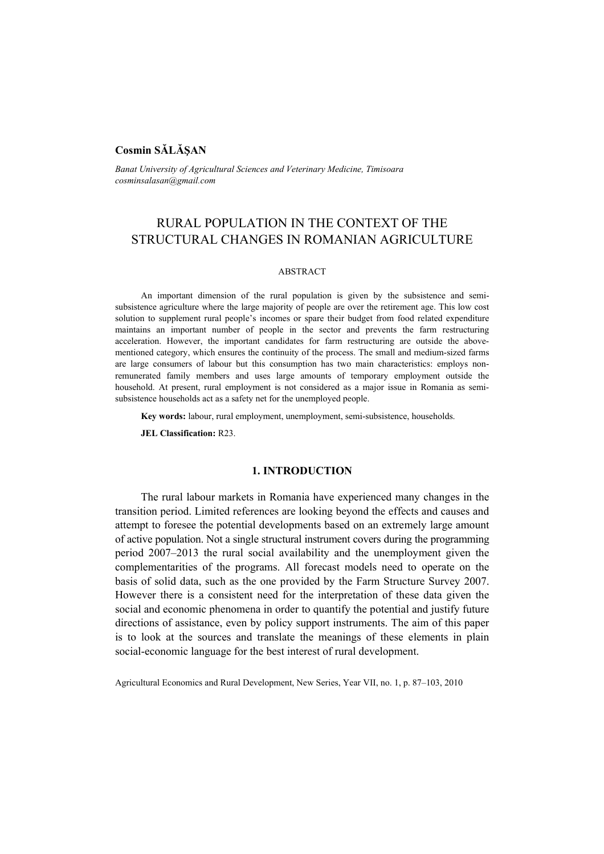# **Cosmin SĂLĂŞAN**

*Banat University of Agricultural Sciences and Veterinary Medicine, Timisoara cosminsalasan@gmail.com* 

# RURAL POPULATION IN THE CONTEXT OF THE STRUCTURAL CHANGES IN ROMANIAN AGRICULTURE

## ABSTRACT

An important dimension of the rural population is given by the subsistence and semisubsistence agriculture where the large majority of people are over the retirement age. This low cost solution to supplement rural people's incomes or spare their budget from food related expenditure maintains an important number of people in the sector and prevents the farm restructuring acceleration. However, the important candidates for farm restructuring are outside the abovementioned category, which ensures the continuity of the process. The small and medium-sized farms are large consumers of labour but this consumption has two main characteristics: employs nonremunerated family members and uses large amounts of temporary employment outside the household. At present, rural employment is not considered as a major issue in Romania as semisubsistence households act as a safety net for the unemployed people.

**Key words:** labour, rural employment, unemployment, semi-subsistence, households.

**JEL Classification:** R23.

## **1. INTRODUCTION**

The rural labour markets in Romania have experienced many changes in the transition period. Limited references are looking beyond the effects and causes and attempt to foresee the potential developments based on an extremely large amount of active population. Not a single structural instrument covers during the programming period 2007–2013 the rural social availability and the unemployment given the complementarities of the programs. All forecast models need to operate on the basis of solid data, such as the one provided by the Farm Structure Survey 2007. However there is a consistent need for the interpretation of these data given the social and economic phenomena in order to quantify the potential and justify future directions of assistance, even by policy support instruments. The aim of this paper is to look at the sources and translate the meanings of these elements in plain social-economic language for the best interest of rural development.

Agricultural Economics and Rural Development, New Series, Year VII, no. 1, p. 87–103, 2010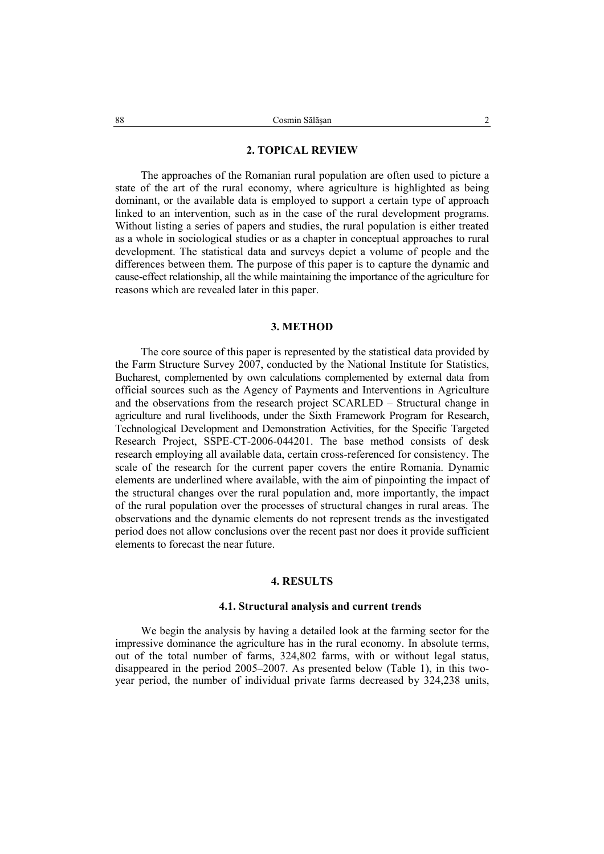## **2. TOPICAL REVIEW**

The approaches of the Romanian rural population are often used to picture a state of the art of the rural economy, where agriculture is highlighted as being dominant, or the available data is employed to support a certain type of approach linked to an intervention, such as in the case of the rural development programs. Without listing a series of papers and studies, the rural population is either treated as a whole in sociological studies or as a chapter in conceptual approaches to rural development. The statistical data and surveys depict a volume of people and the differences between them. The purpose of this paper is to capture the dynamic and cause-effect relationship, all the while maintaining the importance of the agriculture for reasons which are revealed later in this paper.

## **3. METHOD**

The core source of this paper is represented by the statistical data provided by the Farm Structure Survey 2007, conducted by the National Institute for Statistics, Bucharest, complemented by own calculations complemented by external data from official sources such as the Agency of Payments and Interventions in Agriculture and the observations from the research project SCARLED – Structural change in agriculture and rural livelihoods, under the Sixth Framework Program for Research, Technological Development and Demonstration Activities, for the Specific Targeted Research Project, SSPE-CT-2006-044201. The base method consists of desk research employing all available data, certain cross-referenced for consistency. The scale of the research for the current paper covers the entire Romania. Dynamic elements are underlined where available, with the aim of pinpointing the impact of the structural changes over the rural population and, more importantly, the impact of the rural population over the processes of structural changes in rural areas. The observations and the dynamic elements do not represent trends as the investigated period does not allow conclusions over the recent past nor does it provide sufficient elements to forecast the near future.

## **4. RESULTS**

### **4.1. Structural analysis and current trends**

We begin the analysis by having a detailed look at the farming sector for the impressive dominance the agriculture has in the rural economy. In absolute terms, out of the total number of farms, 324,802 farms, with or without legal status, disappeared in the period 2005–2007. As presented below (Table 1), in this twoyear period, the number of individual private farms decreased by 324,238 units,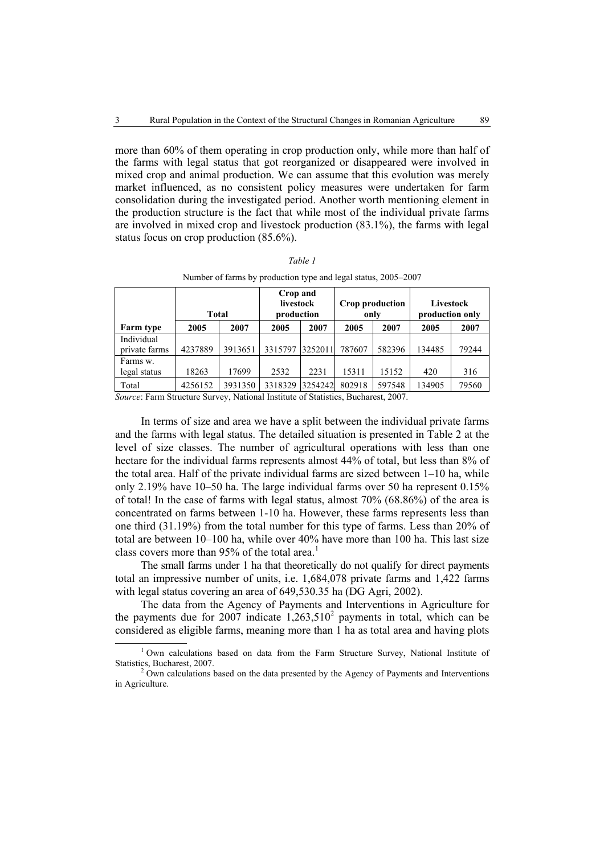more than 60% of them operating in crop production only, while more than half of the farms with legal status that got reorganized or disappeared were involved in mixed crop and animal production. We can assume that this evolution was merely market influenced, as no consistent policy measures were undertaken for farm consolidation during the investigated period. Another worth mentioning element in the production structure is the fact that while most of the individual private farms are involved in mixed crop and livestock production (83.1%), the farms with legal status focus on crop production (85.6%).

|                             | <b>Total</b> |         | Crop and<br>livestock<br>production |         | Crop production<br>only |        | Livestock<br>production only |       |
|-----------------------------|--------------|---------|-------------------------------------|---------|-------------------------|--------|------------------------------|-------|
| Farm type                   | 2005         | 2007    | 2005                                | 2007    | 2005                    | 2007   | 2005                         | 2007  |
| Individual<br>private farms | 4237889      | 3913651 | 3315797                             | 3252011 | 787607                  | 582396 | 134485                       | 79244 |
| Farms w.<br>legal status    | 18263        | 17699   | 2532                                | 2231    | 15311                   | 15152  | 420                          | 316   |
| Total                       | 4256152      | 3931350 | 3318329                             | 3254242 | 802918                  | 597548 | 134905                       | 79560 |

|--|

| Number of farms by production type and legal status, 2005–2007 |  |  |
|----------------------------------------------------------------|--|--|
|                                                                |  |  |

*Source*: Farm Structure Survey, National Institute of Statistics, Bucharest, 2007.

In terms of size and area we have a split between the individual private farms and the farms with legal status. The detailed situation is presented in Table 2 at the level of size classes. The number of agricultural operations with less than one hectare for the individual farms represents almost 44% of total, but less than 8% of the total area. Half of the private individual farms are sized between 1–10 ha, while only 2.19% have 10–50 ha. The large individual farms over 50 ha represent 0.15% of total! In the case of farms with legal status, almost 70% (68.86%) of the area is concentrated on farms between 1-10 ha. However, these farms represents less than one third (31.19%) from the total number for this type of farms. Less than 20% of total are between 10–100 ha, while over 40% have more than 100 ha. This last size class covers more than 95% of the total area.<sup>1</sup>

The small farms under 1 ha that theoretically do not qualify for direct payments total an impressive number of units, i.e. 1,684,078 private farms and 1,422 farms with legal status covering an area of 649,530.35 ha (DG Agri, 2002).

The data from the Agency of Payments and Interventions in Agriculture for the payments due for 2007 indicate  $1,263,510^2$  payments in total, which can be considered as eligible farms, meaning more than 1 ha as total area and having plots

 $\overline{1}$ <sup>1</sup> Own calculations based on data from the Farm Structure Survey, National Institute of Statistics, Bucharest, 2007.

 $<sup>2</sup>$  Own calculations based on the data presented by the Agency of Payments and Interventions</sup> in Agriculture.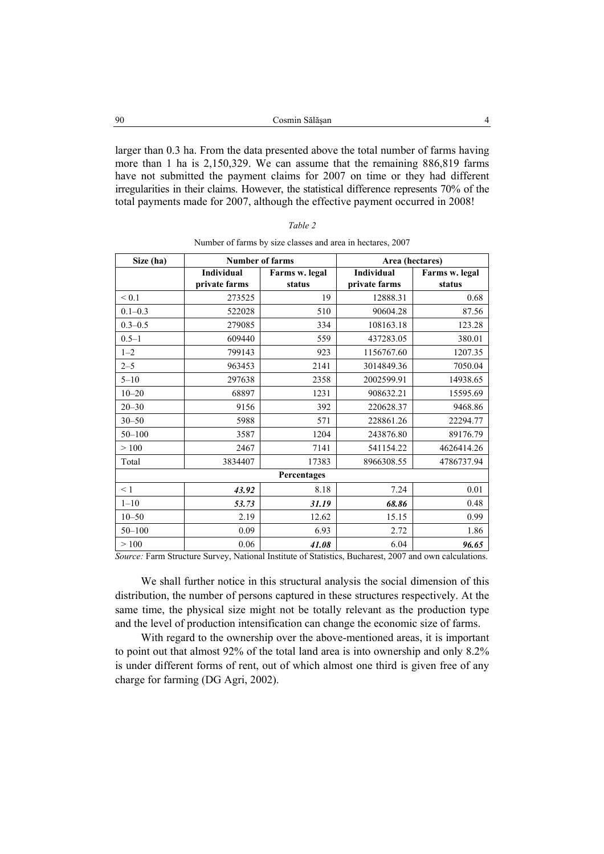| - 90 | Cosmin Sălăsan                                                                     |  |
|------|------------------------------------------------------------------------------------|--|
|      |                                                                                    |  |
|      | larger than 0.3 ha. From the data presented above the total number of farms having |  |
|      | more than 1 ha is $2.150.320$ We can assume that the remaining $886.810$ forms     |  |

more than 1 ha is 2,150,329. We can assume that the remaining 886,819 farms have not submitted the payment claims for 2007 on time or they had different irregularities in their claims. However, the statistical difference represents 70% of the total payments made for 2007, although the effective payment occurred in 2008!

| ۰,<br>I |  |
|---------|--|
|---------|--|

| Size (ha)   | <b>Number of farms</b><br>Area (hectares) |                |                   |                |  |
|-------------|-------------------------------------------|----------------|-------------------|----------------|--|
|             | <b>Individual</b>                         | Farms w. legal | <b>Individual</b> | Farms w. legal |  |
|             | private farms                             | status         | private farms     | status         |  |
| ${}_{0.1}$  | 273525                                    | 19             | 12888.31          | 0.68           |  |
| $0.1 - 0.3$ | 522028                                    | 510            | 90604.28          | 87.56          |  |
| $0.3 - 0.5$ | 279085                                    | 334            | 108163.18         | 123.28         |  |
| $0.5 - 1$   | 609440                                    | 559            | 437283.05         | 380.01         |  |
| $1 - 2$     | 799143                                    | 923            | 1156767.60        | 1207.35        |  |
| $2 - 5$     | 963453                                    | 2141           | 3014849.36        | 7050.04        |  |
| $5 - 10$    | 297638                                    | 2358           | 2002599.91        | 14938.65       |  |
| $10 - 20$   | 68897                                     | 1231           | 908632.21         | 15595.69       |  |
| $20 - 30$   | 9156                                      | 392            | 220628.37         | 9468.86        |  |
| $30 - 50$   | 5988                                      | 571            | 228861.26         | 22294.77       |  |
| $50 - 100$  | 3587                                      | 1204           | 243876.80         | 89176.79       |  |
| >100        | 2467                                      | 7141           | 541154.22         | 4626414.26     |  |
| Total       | 3834407                                   | 17383          | 8966308.55        | 4786737.94     |  |
| Percentages |                                           |                |                   |                |  |
| < 1         | 43.92                                     | 8.18           | 7.24              | 0.01           |  |
| $1 - 10$    | 53.73                                     | 31.19          | 68.86             | 0.48           |  |
| $10 - 50$   | 2.19                                      | 12.62          | 15.15             | 0.99           |  |
| $50 - 100$  | 0.09                                      | 6.93           | 2.72              | 1.86           |  |
| >100        | 0.06                                      | 41.08          | 6.04              | 96.65          |  |

Number of farms by size classes and area in hectares, 2007

*Source:* Farm Structure Survey, National Institute of Statistics, Bucharest, 2007 and own calculations.

We shall further notice in this structural analysis the social dimension of this distribution, the number of persons captured in these structures respectively. At the same time, the physical size might not be totally relevant as the production type and the level of production intensification can change the economic size of farms.

With regard to the ownership over the above-mentioned areas, it is important to point out that almost 92% of the total land area is into ownership and only 8.2% is under different forms of rent, out of which almost one third is given free of any charge for farming (DG Agri, 2002).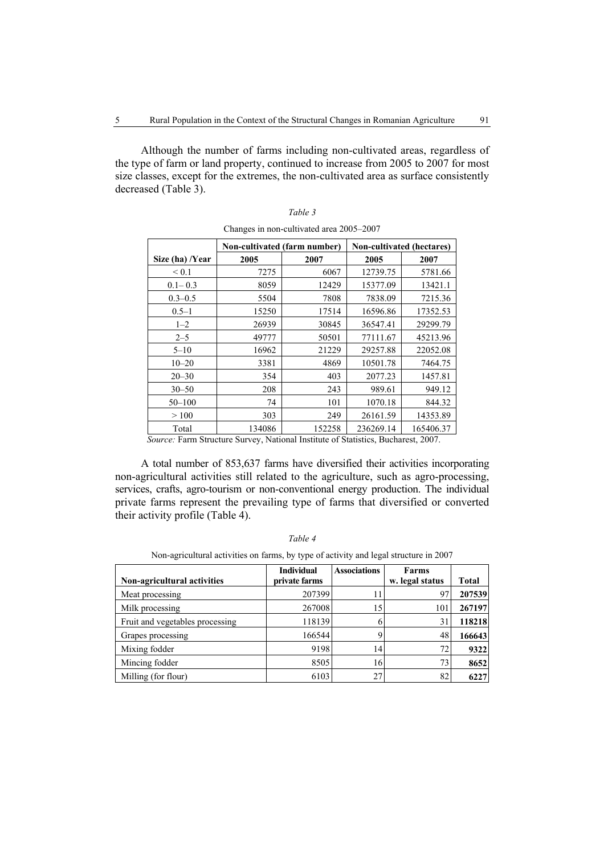Although the number of farms including non-cultivated areas, regardless of the type of farm or land property, continued to increase from 2005 to 2007 for most size classes, except for the extremes, the non-cultivated area as surface consistently decreased (Table 3).

|                 | Non-cultivated (farm number) |        | Non-cultivated (hectares) |           |
|-----------------|------------------------------|--------|---------------------------|-----------|
| Size (ha) /Year | 2005                         | 2007   | 2005                      | 2007      |
| ${}_{0.1}$      | 7275                         | 6067   | 12739.75                  | 5781.66   |
| $0.1 - 0.3$     | 8059                         | 12429  | 15377.09                  | 13421.1   |
| $0.3 - 0.5$     | 5504                         | 7808   | 7838.09                   | 7215.36   |
| $0.5 - 1$       | 15250                        | 17514  | 16596.86                  | 17352.53  |
| $1 - 2$         | 26939                        | 30845  | 36547.41                  | 29299.79  |
| $2 - 5$         | 49777                        | 50501  | 77111.67                  | 45213.96  |
| $5 - 10$        | 16962                        | 21229  | 29257.88                  | 22052.08  |
| $10 - 20$       | 3381                         | 4869   | 10501.78                  | 7464.75   |
| $20 - 30$       | 354                          | 403    | 2077.23                   | 1457.81   |
| $30 - 50$       | 208                          | 243    | 989.61                    | 949.12    |
| $50 - 100$      | 74                           | 101    | 1070.18                   | 844.32    |
| >100            | 303                          | 249    | 26161.59                  | 14353.89  |
| Total           | 134086                       | 152258 | 236269.14                 | 165406.37 |

| Table 3                                  |
|------------------------------------------|
| Changes in non-cultivated area 2005–2007 |

*Source:* Farm Structure Survey, National Institute of Statistics, Bucharest, 2007.

A total number of 853,637 farms have diversified their activities incorporating non-agricultural activities still related to the agriculture, such as agro-processing, services, crafts, agro-tourism or non-conventional energy production. The individual private farms represent the prevailing type of farms that diversified or converted their activity profile (Table 4).

|--|--|--|--|

| Non-agricultural activities on farms, by type of activity and legal structure in 2007 |  |  |  |
|---------------------------------------------------------------------------------------|--|--|--|

| Non-agricultural activities     | <b>Individual</b><br>private farms | <b>Associations</b> | Farms<br>w. legal status | <b>Total</b> |
|---------------------------------|------------------------------------|---------------------|--------------------------|--------------|
| Meat processing                 | 207399                             | 11                  | 97                       | 207539       |
| Milk processing                 | 267008                             | 15                  | 101                      | 267197       |
| Fruit and vegetables processing | 118139                             |                     | 31                       | 118218       |
| Grapes processing               | 166544                             |                     | 48                       | 166643       |
| Mixing fodder                   | 9198                               | 14                  | 72                       | 9322         |
| Mincing fodder                  | 8505                               | 16                  | 73                       | 8652         |
| Milling (for flour)             | 6103                               | 27                  | 82                       | 6227         |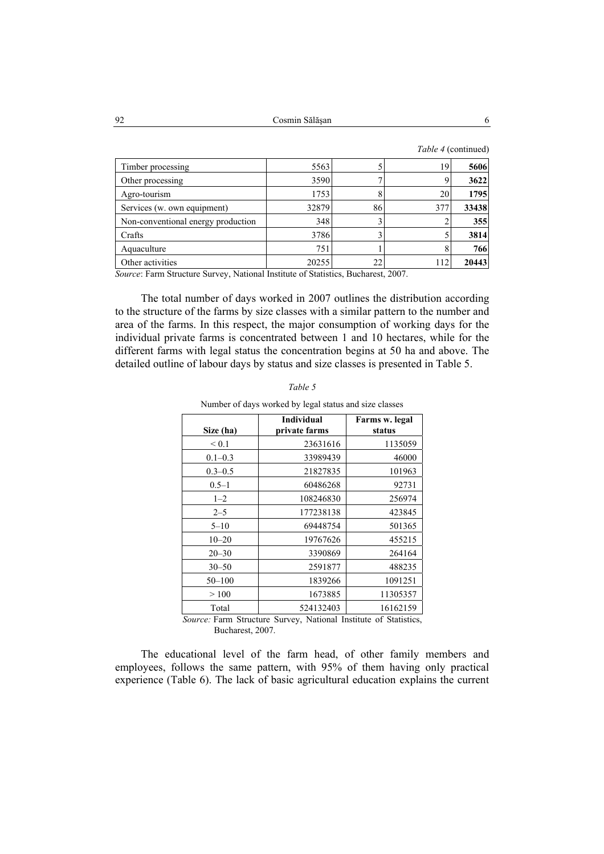|  | <i>Table 4</i> (continued) |
|--|----------------------------|
|--|----------------------------|

| 5563  |    | 19. | 5606  |
|-------|----|-----|-------|
| 3590  |    |     | 3622  |
| 1753  |    | 20  | 1795  |
| 32879 |    | 377 | 33438 |
| 348   |    |     | 355   |
| 3786  |    |     | 3814  |
| 751   |    |     | 766   |
| 20255 | 22 | 112 | 20443 |
|       |    |     | 86    |

*Source*: Farm Structure Survey, National Institute of Statistics, Bucharest, 2007.

The total number of days worked in 2007 outlines the distribution according to the structure of the farms by size classes with a similar pattern to the number and area of the farms. In this respect, the major consumption of working days for the individual private farms is concentrated between 1 and 10 hectares, while for the different farms with legal status the concentration begins at 50 ha and above. The detailed outline of labour days by status and size classes is presented in Table 5.

| Size (ha)   | <b>Individual</b><br>private farms | Farms w. legal<br>status |
|-------------|------------------------------------|--------------------------|
| ${}_{0.1}$  | 23631616                           | 1135059                  |
| $0.1 - 0.3$ | 33989439                           | 46000                    |
| $0.3 - 0.5$ | 21827835                           | 101963                   |
| $0.5 - 1$   | 60486268                           | 92731                    |
| $1 - 2$     | 108246830                          | 256974                   |
| $2 - 5$     | 177238138                          | 423845                   |
| $5 - 10$    | 69448754                           | 501365                   |
| $10 - 20$   | 19767626                           | 455215                   |
| $20 - 30$   | 3390869                            | 264164                   |
| $30 - 50$   | 2591877                            | 488235                   |
| $50 - 100$  | 1839266                            | 1091251                  |
| >100        | 1673885                            | 11305357                 |
| Total       | 524132403                          | 16162159                 |

| Table 5 |  |  |  |  |  |  |  |  |  |
|---------|--|--|--|--|--|--|--|--|--|
|         |  |  |  |  |  |  |  |  |  |

Number of days worked by legal status and size classes

*Source:* Farm Structure Survey, National Institute of Statistics, Bucharest, 2007.

The educational level of the farm head, of other family members and employees, follows the same pattern, with 95% of them having only practical experience (Table 6). The lack of basic agricultural education explains the current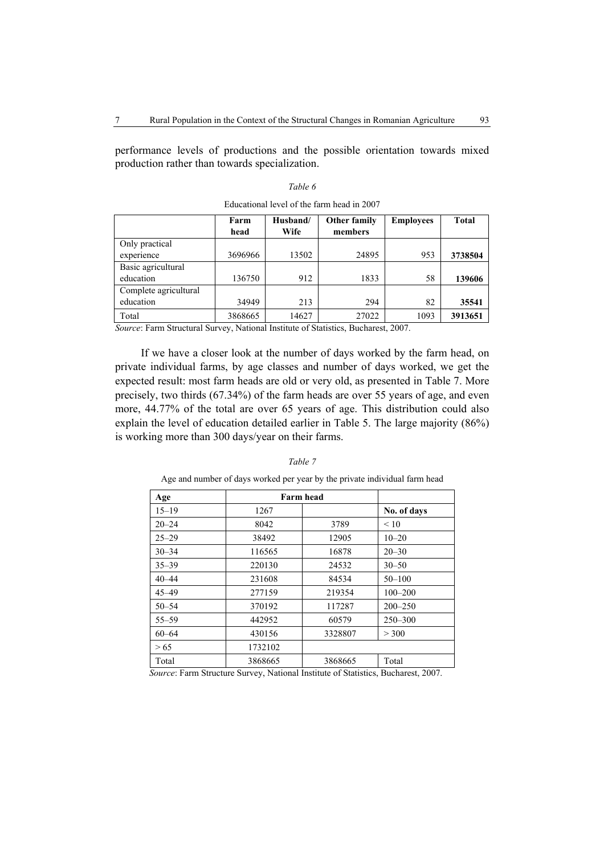performance levels of productions and the possible orientation towards mixed production rather than towards specialization.

## *Table 6*

|                       | Farm<br>head | Husband/<br>Wife | <b>Other family</b><br>members | <b>Employees</b> | Total   |
|-----------------------|--------------|------------------|--------------------------------|------------------|---------|
| Only practical        |              |                  |                                |                  |         |
| experience            | 3696966      | 13502            | 24895                          | 953              | 3738504 |
| Basic agricultural    |              |                  |                                |                  |         |
| education             | 136750       | 912              | 1833                           | 58               | 139606  |
| Complete agricultural |              |                  |                                |                  |         |
| education             | 34949        | 213              | 294                            | 82               | 35541   |
| Total                 | 3868665      | 14627            | 27022                          | 1093             | 3913651 |

Educational level of the farm head in 2007

*Source*: Farm Structural Survey, National Institute of Statistics, Bucharest, 2007.

If we have a closer look at the number of days worked by the farm head, on private individual farms, by age classes and number of days worked, we get the expected result: most farm heads are old or very old, as presented in Table 7. More precisely, two thirds (67.34%) of the farm heads are over 55 years of age, and even more, 44.77% of the total are over 65 years of age. This distribution could also explain the level of education detailed earlier in Table 5. The large majority (86%) is working more than 300 days/year on their farms.

#### *Table 7*

| Age       | Farm head |         |             |
|-----------|-----------|---------|-------------|
| $15 - 19$ | 1267      |         | No. of days |
| $20 - 24$ | 8042      | 3789    | < 10        |
| $25 - 29$ | 38492     | 12905   | $10 - 20$   |
| $30 - 34$ | 116565    | 16878   | $20 - 30$   |
| $35 - 39$ | 220130    | 24532   | $30 - 50$   |
| $40 - 44$ | 231608    | 84534   | $50 - 100$  |
| $45 - 49$ | 277159    | 219354  | $100 - 200$ |
| $50 - 54$ | 370192    | 117287  | $200 - 250$ |
| $55 - 59$ | 442952    | 60579   | $250 - 300$ |
| $60 - 64$ | 430156    | 3328807 | > 300       |
| > 65      | 1732102   |         |             |
| Total     | 3868665   | 3868665 | Total       |

Age and number of days worked per year by the private individual farm head

*Source*: Farm Structure Survey, National Institute of Statistics, Bucharest, 2007.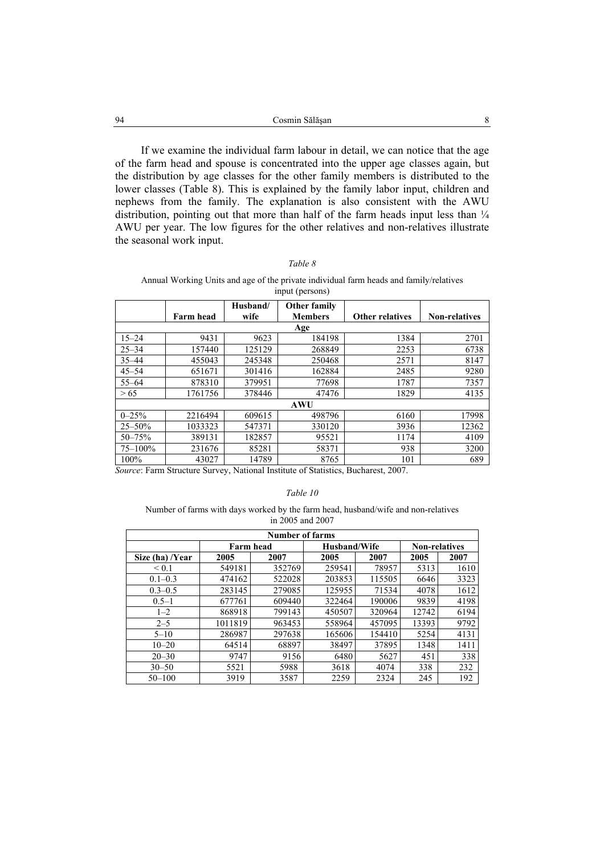| 94 | Cosmin Sălăsan                                                                 |  |
|----|--------------------------------------------------------------------------------|--|
|    |                                                                                |  |
|    | If we examine the individual farm labour in detail, we can notice that the age |  |

of the farm head and spouse is concentrated into the upper age classes again, but the distribution by age classes for the other family members is distributed to the lower classes (Table 8). This is explained by the family labor input, children and nephews from the family. The explanation is also consistent with the AWU distribution, pointing out that more than half of the farm heads input less than  $\frac{1}{4}$ AWU per year. The low figures for the other relatives and non-relatives illustrate the seasonal work input.

#### *Table 8*

#### Annual Working Units and age of the private individual farm heads and family/relatives input (persons)

|              |                  | Husband/ | <b>Other family</b> |                        |                      |
|--------------|------------------|----------|---------------------|------------------------|----------------------|
|              | <b>Farm head</b> | wife     | <b>Members</b>      | <b>Other relatives</b> | <b>Non-relatives</b> |
|              |                  |          | Age                 |                        |                      |
| $15 - 24$    | 9431             | 9623     | 184198              | 1384                   | 2701                 |
| $25 - 34$    | 157440           | 125129   | 268849              | 2253                   | 6738                 |
| $35 - 44$    | 455043           | 245348   | 250468              | 2571                   | 8147                 |
| $45 - 54$    | 651671           | 301416   | 162884              | 2485                   | 9280                 |
| $55 - 64$    | 878310           | 379951   | 77698               | 1787                   | 7357                 |
| > 65         | 1761756          | 378446   | 47476               | 1829                   | 4135                 |
|              |                  |          | <b>AWU</b>          |                        |                      |
| $0 - 25%$    | 2216494          | 609615   | 498796              | 6160                   | 17998                |
| $25 - 50%$   | 1033323          | 547371   | 330120              | 3936                   | 12362                |
| $50 - 75%$   | 389131           | 182857   | 95521               | 1174                   | 4109                 |
| $75 - 100\%$ | 231676           | 85281    | 58371               | 938                    | 3200                 |
| 100%         | 43027            | 14789    | 8765                | 101                    | 689                  |

*Source*: Farm Structure Survey, National Institute of Statistics, Bucharest, 2007.

#### *Table 10*

#### Number of farms with days worked by the farm head, husband/wife and non-relatives in 2005 and 2007

| Number of farms |         |                  |              |        |                      |      |  |  |
|-----------------|---------|------------------|--------------|--------|----------------------|------|--|--|
|                 |         | <b>Farm head</b> | Husband/Wife |        | <b>Non-relatives</b> |      |  |  |
| Size (ha) /Year | 2005    | 2007             | 2005         | 2007   | 2005                 | 2007 |  |  |
| < 0.1           | 549181  | 352769           | 259541       | 78957  | 5313                 | 1610 |  |  |
| $0.1 - 0.3$     | 474162  | 522028           | 203853       | 115505 | 6646                 | 3323 |  |  |
| $0.3 - 0.5$     | 283145  | 279085           | 125955       | 71534  | 4078                 | 1612 |  |  |
| $0.5 - 1$       | 677761  | 609440           | 322464       | 190006 | 9839                 | 4198 |  |  |
| $1 - 2$         | 868918  | 799143           | 450507       | 320964 | 12742                | 6194 |  |  |
| $2 - 5$         | 1011819 | 963453           | 558964       | 457095 | 13393                | 9792 |  |  |
| $5 - 10$        | 286987  | 297638           | 165606       | 154410 | 5254                 | 4131 |  |  |
| $10 - 20$       | 64514   | 68897            | 38497        | 37895  | 1348                 | 1411 |  |  |
| $20 - 30$       | 9747    | 9156             | 6480         | 5627   | 451                  | 338  |  |  |
| $30 - 50$       | 5521    | 5988             | 3618         | 4074   | 338                  | 232  |  |  |
| $50 - 100$      | 3919    | 3587             | 2259         | 2324   | 245                  | 192  |  |  |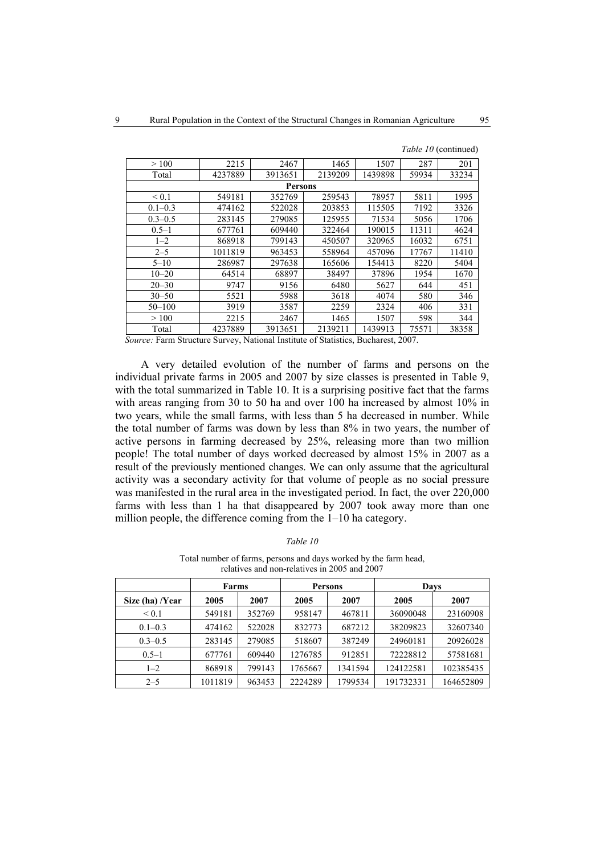| >100        | 2215    | 2467                                                                    | 1465    | 1507    | 287   | 201   |
|-------------|---------|-------------------------------------------------------------------------|---------|---------|-------|-------|
| Total       | 4237889 | 3913651                                                                 | 2139209 | 1439898 | 59934 | 33234 |
|             |         | <b>Persons</b>                                                          |         |         |       |       |
| ${}_{0.1}$  | 549181  | 352769                                                                  | 259543  | 78957   | 5811  | 1995  |
| $0.1 - 0.3$ | 474162  | 522028                                                                  | 203853  | 115505  | 7192  | 3326  |
| $0.3 - 0.5$ | 283145  | 279085                                                                  | 125955  | 71534   | 5056  | 1706  |
| $0.5 - 1$   | 677761  | 609440                                                                  | 322464  | 190015  | 11311 | 4624  |
| $1 - 2$     | 868918  | 799143                                                                  | 450507  | 320965  | 16032 | 6751  |
| $2 - 5$     | 1011819 | 963453                                                                  | 558964  | 457096  | 17767 | 11410 |
| $5 - 10$    | 286987  | 297638                                                                  | 165606  | 154413  | 8220  | 5404  |
| $10 - 20$   | 64514   | 68897                                                                   | 38497   | 37896   | 1954  | 1670  |
| $20 - 30$   | 9747    | 9156                                                                    | 6480    | 5627    | 644   | 451   |
| $30 - 50$   | 5521    | 5988                                                                    | 3618    | 4074    | 580   | 346   |
| $50 - 100$  | 3919    | 3587                                                                    | 2259    | 2324    | 406   | 331   |
| >100        | 2215    | 2467                                                                    | 1465    | 1507    | 598   | 344   |
| Total       | 4237889 | 3913651                                                                 | 2139211 | 1439913 | 75571 | 38358 |
|             |         | $\Gamma$ . $\Omega$ and $\Omega$ and $\Gamma$ and $\Gamma$ and $\Gamma$ |         |         |       |       |

*Table 10* (continued)

*Source:* Farm Structure Survey, National Institute of Statistics, Bucharest, 2007.

A very detailed evolution of the number of farms and persons on the individual private farms in 2005 and 2007 by size classes is presented in Table 9, with the total summarized in Table 10. It is a surprising positive fact that the farms with areas ranging from 30 to 50 ha and over 100 ha increased by almost 10% in two years, while the small farms, with less than 5 ha decreased in number. While the total number of farms was down by less than 8% in two years, the number of active persons in farming decreased by 25%, releasing more than two million people! The total number of days worked decreased by almost 15% in 2007 as a result of the previously mentioned changes. We can only assume that the agricultural activity was a secondary activity for that volume of people as no social pressure was manifested in the rural area in the investigated period. In fact, the over 220,000 farms with less than 1 ha that disappeared by 2007 took away more than one million people, the difference coming from the 1–10 ha category.

| able. |  |
|-------|--|
|-------|--|

| Total number of farms, persons and days worked by the farm head, |  |
|------------------------------------------------------------------|--|
| relatives and non-relatives in 2005 and 2007                     |  |

|                 | Farms   |        | <b>Persons</b> |         | Davs      |           |
|-----------------|---------|--------|----------------|---------|-----------|-----------|
| Size (ha) /Year | 2005    | 2007   | 2005           | 2007    | 2005      | 2007      |
| ${}_{0.1}$      | 549181  | 352769 | 958147         | 467811  | 36090048  | 23160908  |
| $0.1 - 0.3$     | 474162  | 522028 | 832773         | 687212  | 38209823  | 32607340  |
| $0.3 - 0.5$     | 283145  | 279085 | 518607         | 387249  | 24960181  | 20926028  |
| $0.5 - 1$       | 677761  | 609440 | 1276785        | 912851  | 72228812  | 57581681  |
| $1 - 2$         | 868918  | 799143 | 1765667        | 1341594 | 124122581 | 102385435 |
| $2 - 5$         | 1011819 | 963453 | 2224289        | 1799534 | 191732331 | 164652809 |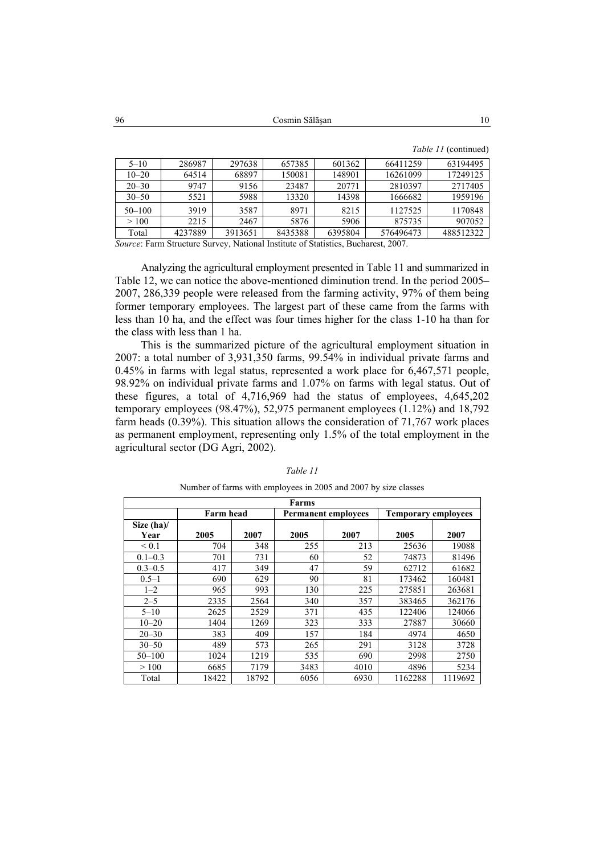Cosmin Sălăşan 10 96

|            |         |         |         |         |           | $1400 \times 11$ (community |
|------------|---------|---------|---------|---------|-----------|-----------------------------|
| $5 - 10$   | 286987  | 297638  | 657385  | 601362  | 66411259  | 63194495                    |
| $10 - 20$  | 64514   | 68897   | 150081  | 148901  | 16261099  | 17249125                    |
| $20 - 30$  | 9747    | 9156    | 23487   | 20771   | 2810397   | 2717405                     |
| $30 - 50$  | 5521    | 5988    | 13320   | 14398   | 1666682   | 1959196                     |
| $50 - 100$ | 3919    | 3587    | 8971    | 8215    | 1127525   | 1170848                     |
| >100       | 2215    | 2467    | 5876    | 5906    | 875735    | 907052                      |
| Total      | 4237889 | 3913651 | 8435388 | 6395804 | 576496473 | 488512322                   |

*Table 11* (continued)

*Source*: Farm Structure Survey, National Institute of Statistics, Bucharest, 2007.

Analyzing the agricultural employment presented in Table 11 and summarized in Table 12, we can notice the above-mentioned diminution trend. In the period 2005– 2007, 286,339 people were released from the farming activity, 97% of them being former temporary employees. The largest part of these came from the farms with less than 10 ha, and the effect was four times higher for the class 1-10 ha than for the class with less than 1 ha.

This is the summarized picture of the agricultural employment situation in 2007: a total number of 3,931,350 farms, 99.54% in individual private farms and 0.45% in farms with legal status, represented a work place for 6,467,571 people, 98.92% on individual private farms and 1.07% on farms with legal status. Out of these figures, a total of 4,716,969 had the status of employees, 4,645,202 temporary employees (98.47%), 52,975 permanent employees  $(1.12\%)$  and 18,792 farm heads (0.39%). This situation allows the consideration of 71,767 work places as permanent employment, representing only 1.5% of the total employment in the agricultural sector (DG Agri, 2002).

| Farms                 |       |       |      |                            |                            |         |
|-----------------------|-------|-------|------|----------------------------|----------------------------|---------|
| Farm head             |       |       |      | <b>Permanent employees</b> | <b>Temporary employees</b> |         |
| Size $(ha)$ /<br>Year | 2005  | 2007  | 2005 | 2007                       | 2005                       | 2007    |
| ${}_{0.1}$            | 704   | 348   | 255  | 213                        | 25636                      | 19088   |
| $0.1 - 0.3$           | 701   | 731   | 60   | 52                         | 74873                      | 81496   |
| $0.3 - 0.5$           | 417   | 349   | 47   | 59                         | 62712                      | 61682   |
| $0.5 - 1$             | 690   | 629   | 90   | 81                         | 173462                     | 160481  |
| $1 - 2$               | 965   | 993   | 130  | 225                        | 275851                     | 263681  |
| $2 - 5$               | 2335  | 2564  | 340  | 357                        | 383465                     | 362176  |
| $5 - 10$              | 2625  | 2529  | 371  | 435                        | 122406                     | 124066  |
| $10 - 20$             | 1404  | 1269  | 323  | 333                        | 27887                      | 30660   |
| $20 - 30$             | 383   | 409   | 157  | 184                        | 4974                       | 4650    |
| $30 - 50$             | 489   | 573   | 265  | 291                        | 3128                       | 3728    |
| $50 - 100$            | 1024  | 1219  | 535  | 690                        | 2998                       | 2750    |
| >100                  | 6685  | 7179  | 3483 | 4010                       | 4896                       | 5234    |
| Total                 | 18422 | 18792 | 6056 | 6930                       | 1162288                    | 1119692 |

# *Table 11*  Number of farms with employees in 2005 and 2007 by size classes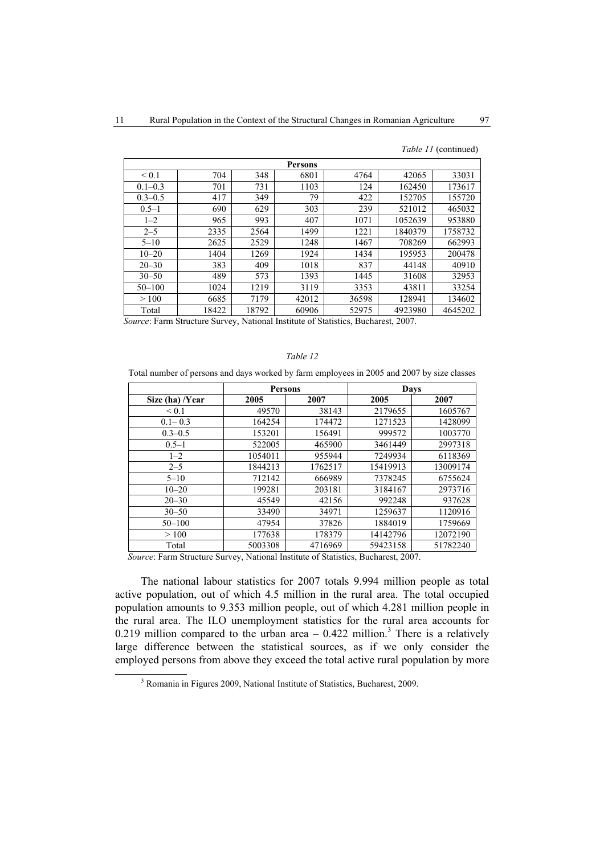| <b>Persons</b> |       |       |       |       |         |         |  |
|----------------|-------|-------|-------|-------|---------|---------|--|
| ${}_{0.1}$     | 704   | 348   | 6801  | 4764  | 42065   | 33031   |  |
| $0.1 - 0.3$    | 701   | 731   | 1103  | 124   | 162450  | 173617  |  |
| $0.3 - 0.5$    | 417   | 349   | 79    | 422   | 152705  | 155720  |  |
| $0.5 - 1$      | 690   | 629   | 303   | 239   | 521012  | 465032  |  |
| $1 - 2$        | 965   | 993   | 407   | 1071  | 1052639 | 953880  |  |
| $2 - 5$        | 2335  | 2564  | 1499  | 1221  | 1840379 | 1758732 |  |
| $5 - 10$       | 2625  | 2529  | 1248  | 1467  | 708269  | 662993  |  |
| $10 - 20$      | 1404  | 1269  | 1924  | 1434  | 195953  | 200478  |  |
| $20 - 30$      | 383   | 409   | 1018  | 837   | 44148   | 40910   |  |
| $30 - 50$      | 489   | 573   | 1393  | 1445  | 31608   | 32953   |  |
| $50 - 100$     | 1024  | 1219  | 3119  | 3353  | 43811   | 33254   |  |
| >100           | 6685  | 7179  | 42012 | 36598 | 128941  | 134602  |  |
| Total          | 18422 | 18792 | 60906 | 52975 | 4923980 | 4645202 |  |

*Table 11* (continued)

*Source*: Farm Structure Survey, National Institute of Statistics, Bucharest, 2007.

#### *Table 12*

Total number of persons and days worked by farm employees in 2005 and 2007 by size classes

|                 | <b>Persons</b> |         | Days     |          |  |
|-----------------|----------------|---------|----------|----------|--|
| Size (ha) /Year | 2005           | 2007    | 2005     | 2007     |  |
| ${}_{0.1}$      | 49570          | 38143   | 2179655  | 1605767  |  |
| $0.1 - 0.3$     | 164254         | 174472  | 1271523  | 1428099  |  |
| $0.3 - 0.5$     | 153201         | 156491  | 999572   | 1003770  |  |
| $0.5 - 1$       | 522005         | 465900  | 3461449  | 2997318  |  |
| $1 - 2$         | 1054011        | 955944  | 7249934  | 6118369  |  |
| $2 - 5$         | 1844213        | 1762517 | 15419913 | 13009174 |  |
| $5 - 10$        | 712142         | 666989  | 7378245  | 6755624  |  |
| $10 - 20$       | 199281         | 203181  | 3184167  | 2973716  |  |
| $20 - 30$       | 45549          | 42156   | 992248   | 937628   |  |
| $30 - 50$       | 33490          | 34971   | 1259637  | 1120916  |  |
| $50 - 100$      | 47954          | 37826   | 1884019  | 1759669  |  |
| >100            | 177638         | 178379  | 14142796 | 12072190 |  |
| Total           | 5003308        | 4716969 | 59423158 | 51782240 |  |
|                 |                |         |          |          |  |

*Source*: Farm Structure Survey, National Institute of Statistics, Bucharest, 2007.

The national labour statistics for 2007 totals 9.994 million people as total active population, out of which 4.5 million in the rural area. The total occupied population amounts to 9.353 million people, out of which 4.281 million people in the rural area. The ILO unemployment statistics for the rural area accounts for 0.219 million compared to the urban area  $-$  0.422 million.<sup>3</sup> There is a relatively large difference between the statistical sources, as if we only consider the employed persons from above they exceed the total active rural population by more

 $\frac{3}{3}$ <sup>3</sup> Romania in Figures 2009, National Institute of Statistics, Bucharest, 2009.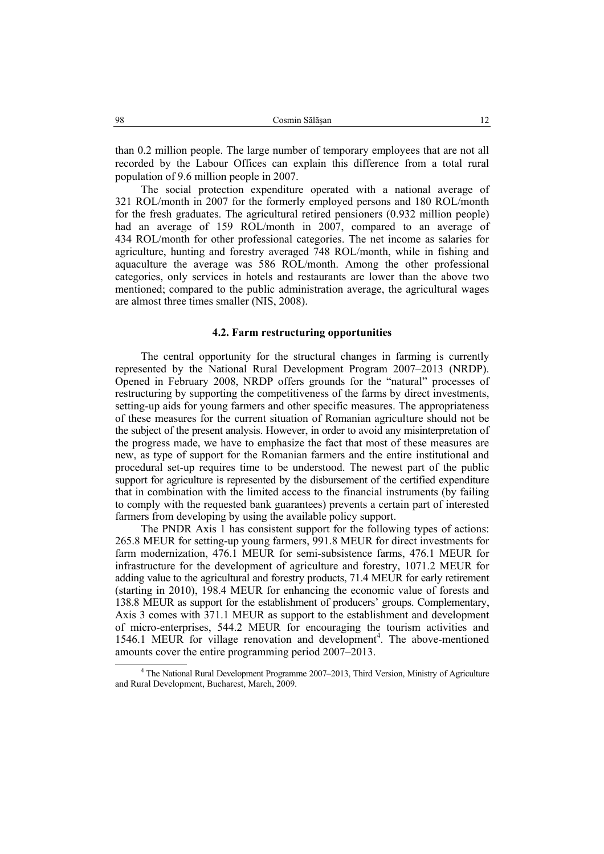than 0.2 million people. The large number of temporary employees that are not all recorded by the Labour Offices can explain this difference from a total rural population of 9.6 million people in 2007.

The social protection expenditure operated with a national average of 321 ROL/month in 2007 for the formerly employed persons and 180 ROL/month for the fresh graduates. The agricultural retired pensioners (0.932 million people) had an average of 159 ROL/month in 2007, compared to an average of 434 ROL/month for other professional categories. The net income as salaries for agriculture, hunting and forestry averaged 748 ROL/month, while in fishing and aquaculture the average was 586 ROL/month. Among the other professional categories, only services in hotels and restaurants are lower than the above two mentioned; compared to the public administration average, the agricultural wages are almost three times smaller (NIS, 2008).

#### **4.2. Farm restructuring opportunities**

The central opportunity for the structural changes in farming is currently represented by the National Rural Development Program 2007–2013 (NRDP). Opened in February 2008, NRDP offers grounds for the "natural" processes of restructuring by supporting the competitiveness of the farms by direct investments, setting-up aids for young farmers and other specific measures. The appropriateness of these measures for the current situation of Romanian agriculture should not be the subject of the present analysis. However, in order to avoid any misinterpretation of the progress made, we have to emphasize the fact that most of these measures are new, as type of support for the Romanian farmers and the entire institutional and procedural set-up requires time to be understood. The newest part of the public support for agriculture is represented by the disbursement of the certified expenditure that in combination with the limited access to the financial instruments (by failing to comply with the requested bank guarantees) prevents a certain part of interested farmers from developing by using the available policy support.

The PNDR Axis 1 has consistent support for the following types of actions: 265.8 MEUR for setting-up young farmers, 991.8 MEUR for direct investments for farm modernization, 476.1 MEUR for semi-subsistence farms, 476.1 MEUR for infrastructure for the development of agriculture and forestry, 1071.2 MEUR for adding value to the agricultural and forestry products, 71.4 MEUR for early retirement (starting in 2010), 198.4 MEUR for enhancing the economic value of forests and 138.8 MEUR as support for the establishment of producers' groups. Complementary, Axis 3 comes with 371.1 MEUR as support to the establishment and development of micro-enterprises, 544.2 MEUR for encouraging the tourism activities and 1546.1 MEUR for village renovation and development<sup>4</sup>. The above-mentioned amounts cover the entire programming period 2007–2013.

 $\overline{4}$  The National Rural Development Programme 2007–2013, Third Version, Ministry of Agriculture and Rural Development, Bucharest, March, 2009.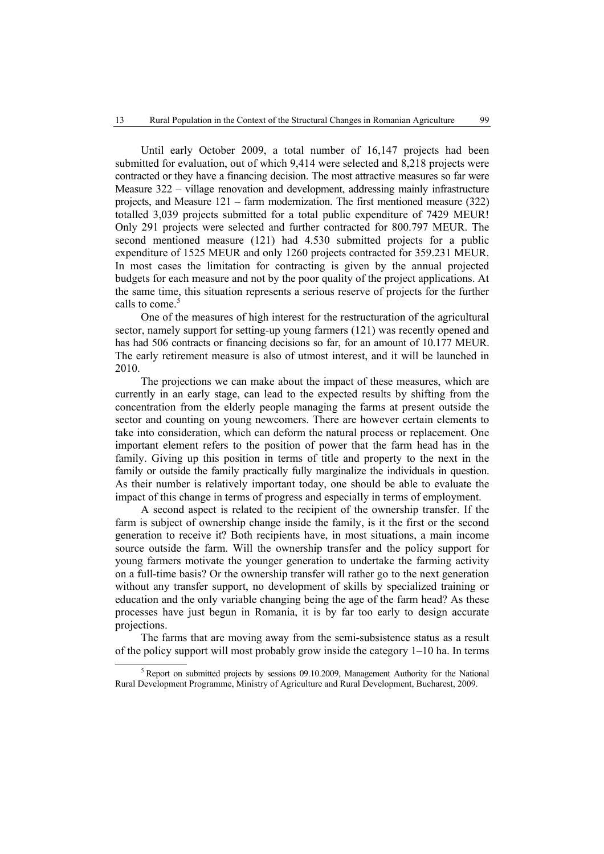Until early October 2009, a total number of 16,147 projects had been submitted for evaluation, out of which 9,414 were selected and 8,218 projects were contracted or they have a financing decision. The most attractive measures so far were Measure 322 – village renovation and development, addressing mainly infrastructure projects, and Measure 121 – farm modernization. The first mentioned measure (322) totalled 3,039 projects submitted for a total public expenditure of 7429 MEUR! Only 291 projects were selected and further contracted for 800.797 MEUR. The second mentioned measure (121) had 4.530 submitted projects for a public expenditure of 1525 MEUR and only 1260 projects contracted for 359.231 MEUR. In most cases the limitation for contracting is given by the annual projected budgets for each measure and not by the poor quality of the project applications. At the same time, this situation represents a serious reserve of projects for the further calls to come.<sup>5</sup>

One of the measures of high interest for the restructuration of the agricultural sector, namely support for setting-up young farmers (121) was recently opened and has had 506 contracts or financing decisions so far, for an amount of 10.177 MEUR. The early retirement measure is also of utmost interest, and it will be launched in 2010.

The projections we can make about the impact of these measures, which are currently in an early stage, can lead to the expected results by shifting from the concentration from the elderly people managing the farms at present outside the sector and counting on young newcomers. There are however certain elements to take into consideration, which can deform the natural process or replacement. One important element refers to the position of power that the farm head has in the family. Giving up this position in terms of title and property to the next in the family or outside the family practically fully marginalize the individuals in question. As their number is relatively important today, one should be able to evaluate the impact of this change in terms of progress and especially in terms of employment.

A second aspect is related to the recipient of the ownership transfer. If the farm is subject of ownership change inside the family, is it the first or the second generation to receive it? Both recipients have, in most situations, a main income source outside the farm. Will the ownership transfer and the policy support for young farmers motivate the younger generation to undertake the farming activity on a full-time basis? Or the ownership transfer will rather go to the next generation without any transfer support, no development of skills by specialized training or education and the only variable changing being the age of the farm head? As these processes have just begun in Romania, it is by far too early to design accurate projections.

The farms that are moving away from the semi-subsistence status as a result of the policy support will most probably grow inside the category 1–10 ha. In terms

 $rac{1}{5}$  $<sup>5</sup>$  Report on submitted projects by sessions 09.10.2009, Management Authority for the National</sup> Rural Development Programme, Ministry of Agriculture and Rural Development, Bucharest, 2009.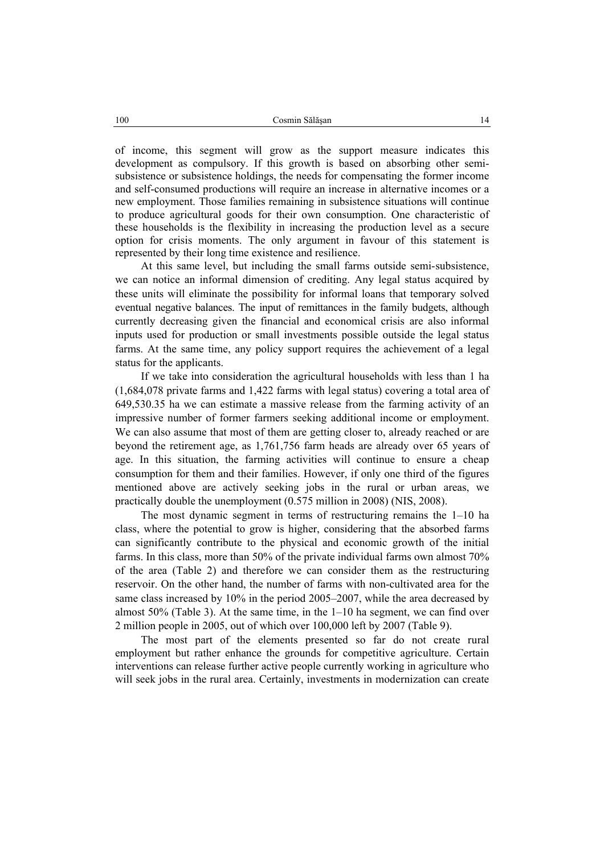of income, this segment will grow as the support measure indicates this development as compulsory. If this growth is based on absorbing other semisubsistence or subsistence holdings, the needs for compensating the former income and self-consumed productions will require an increase in alternative incomes or a new employment. Those families remaining in subsistence situations will continue to produce agricultural goods for their own consumption. One characteristic of these households is the flexibility in increasing the production level as a secure option for crisis moments. The only argument in favour of this statement is represented by their long time existence and resilience.

At this same level, but including the small farms outside semi-subsistence, we can notice an informal dimension of crediting. Any legal status acquired by these units will eliminate the possibility for informal loans that temporary solved eventual negative balances. The input of remittances in the family budgets, although currently decreasing given the financial and economical crisis are also informal inputs used for production or small investments possible outside the legal status farms. At the same time, any policy support requires the achievement of a legal status for the applicants.

If we take into consideration the agricultural households with less than 1 ha (1,684,078 private farms and 1,422 farms with legal status) covering a total area of 649,530.35 ha we can estimate a massive release from the farming activity of an impressive number of former farmers seeking additional income or employment. We can also assume that most of them are getting closer to, already reached or are beyond the retirement age, as 1,761,756 farm heads are already over 65 years of age. In this situation, the farming activities will continue to ensure a cheap consumption for them and their families. However, if only one third of the figures mentioned above are actively seeking jobs in the rural or urban areas, we practically double the unemployment (0.575 million in 2008) (NIS, 2008).

The most dynamic segment in terms of restructuring remains the 1–10 ha class, where the potential to grow is higher, considering that the absorbed farms can significantly contribute to the physical and economic growth of the initial farms. In this class, more than 50% of the private individual farms own almost 70% of the area (Table 2) and therefore we can consider them as the restructuring reservoir. On the other hand, the number of farms with non-cultivated area for the same class increased by 10% in the period 2005–2007, while the area decreased by almost 50% (Table 3). At the same time, in the 1–10 ha segment, we can find over 2 million people in 2005, out of which over 100,000 left by 2007 (Table 9).

The most part of the elements presented so far do not create rural employment but rather enhance the grounds for competitive agriculture. Certain interventions can release further active people currently working in agriculture who will seek jobs in the rural area. Certainly, investments in modernization can create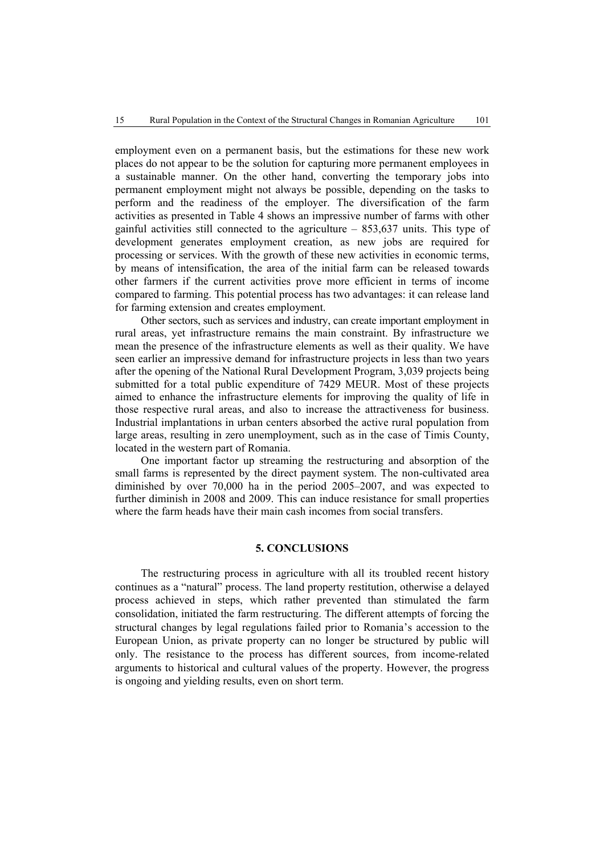employment even on a permanent basis, but the estimations for these new work places do not appear to be the solution for capturing more permanent employees in a sustainable manner. On the other hand, converting the temporary jobs into permanent employment might not always be possible, depending on the tasks to perform and the readiness of the employer. The diversification of the farm activities as presented in Table 4 shows an impressive number of farms with other gainful activities still connected to the agriculture – 853,637 units. This type of development generates employment creation, as new jobs are required for processing or services. With the growth of these new activities in economic terms, by means of intensification, the area of the initial farm can be released towards other farmers if the current activities prove more efficient in terms of income compared to farming. This potential process has two advantages: it can release land for farming extension and creates employment.

Other sectors, such as services and industry, can create important employment in rural areas, yet infrastructure remains the main constraint. By infrastructure we mean the presence of the infrastructure elements as well as their quality. We have seen earlier an impressive demand for infrastructure projects in less than two years after the opening of the National Rural Development Program, 3,039 projects being submitted for a total public expenditure of 7429 MEUR. Most of these projects aimed to enhance the infrastructure elements for improving the quality of life in those respective rural areas, and also to increase the attractiveness for business. Industrial implantations in urban centers absorbed the active rural population from large areas, resulting in zero unemployment, such as in the case of Timis County, located in the western part of Romania.

One important factor up streaming the restructuring and absorption of the small farms is represented by the direct payment system. The non-cultivated area diminished by over 70,000 ha in the period 2005–2007, and was expected to further diminish in 2008 and 2009. This can induce resistance for small properties where the farm heads have their main cash incomes from social transfers.

# **5. CONCLUSIONS**

The restructuring process in agriculture with all its troubled recent history continues as a "natural" process. The land property restitution, otherwise a delayed process achieved in steps, which rather prevented than stimulated the farm consolidation, initiated the farm restructuring. The different attempts of forcing the structural changes by legal regulations failed prior to Romania's accession to the European Union, as private property can no longer be structured by public will only. The resistance to the process has different sources, from income-related arguments to historical and cultural values of the property. However, the progress is ongoing and yielding results, even on short term.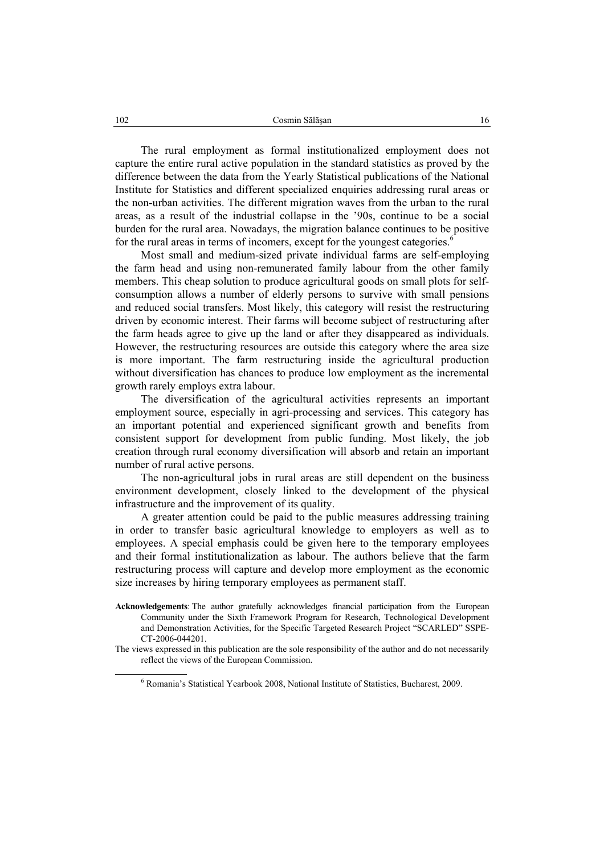The rural employment as formal institutionalized employment does not capture the entire rural active population in the standard statistics as proved by the difference between the data from the Yearly Statistical publications of the National Institute for Statistics and different specialized enquiries addressing rural areas or the non-urban activities. The different migration waves from the urban to the rural areas, as a result of the industrial collapse in the '90s, continue to be a social burden for the rural area. Nowadays, the migration balance continues to be positive for the rural areas in terms of incomers, except for the youngest categories.<sup>6</sup>

Most small and medium-sized private individual farms are self-employing the farm head and using non-remunerated family labour from the other family members. This cheap solution to produce agricultural goods on small plots for selfconsumption allows a number of elderly persons to survive with small pensions and reduced social transfers. Most likely, this category will resist the restructuring driven by economic interest. Their farms will become subject of restructuring after the farm heads agree to give up the land or after they disappeared as individuals. However, the restructuring resources are outside this category where the area size is more important. The farm restructuring inside the agricultural production without diversification has chances to produce low employment as the incremental growth rarely employs extra labour.

The diversification of the agricultural activities represents an important employment source, especially in agri-processing and services. This category has an important potential and experienced significant growth and benefits from consistent support for development from public funding. Most likely, the job creation through rural economy diversification will absorb and retain an important number of rural active persons.

The non-agricultural jobs in rural areas are still dependent on the business environment development, closely linked to the development of the physical infrastructure and the improvement of its quality.

A greater attention could be paid to the public measures addressing training in order to transfer basic agricultural knowledge to employers as well as to employees. A special emphasis could be given here to the temporary employees and their formal institutionalization as labour. The authors believe that the farm restructuring process will capture and develop more employment as the economic size increases by hiring temporary employees as permanent staff.

- **Acknowledgements**: The author gratefully acknowledges financial participation from the European Community under the Sixth Framework Program for Research, Technological Development and Demonstration Activities, for the Specific Targeted Research Project "SCARLED" SSPE-CT-2006-044201.
- The views expressed in this publication are the sole responsibility of the author and do not necessarily reflect the views of the European Commission.

 $\frac{1}{6}$ Romania's Statistical Yearbook 2008, National Institute of Statistics, Bucharest, 2009.